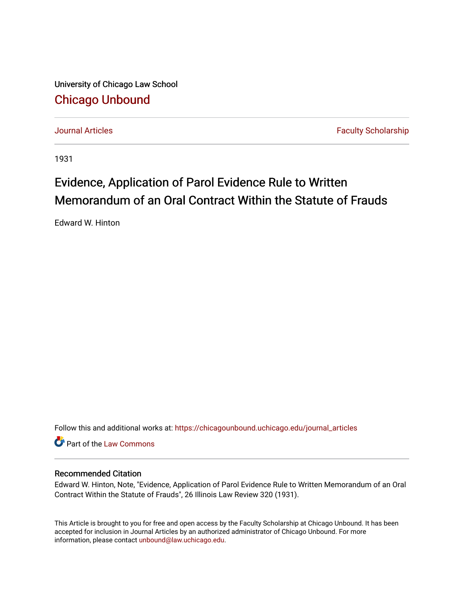University of Chicago Law School [Chicago Unbound](https://chicagounbound.uchicago.edu/)

[Journal Articles](https://chicagounbound.uchicago.edu/journal_articles) **Faculty Scholarship Journal Articles** 

1931

## Evidence, Application of Parol Evidence Rule to Written Memorandum of an Oral Contract Within the Statute of Frauds

Edward W. Hinton

Follow this and additional works at: [https://chicagounbound.uchicago.edu/journal\\_articles](https://chicagounbound.uchicago.edu/journal_articles?utm_source=chicagounbound.uchicago.edu%2Fjournal_articles%2F9105&utm_medium=PDF&utm_campaign=PDFCoverPages) 

Part of the [Law Commons](http://network.bepress.com/hgg/discipline/578?utm_source=chicagounbound.uchicago.edu%2Fjournal_articles%2F9105&utm_medium=PDF&utm_campaign=PDFCoverPages)

## Recommended Citation

Edward W. Hinton, Note, "Evidence, Application of Parol Evidence Rule to Written Memorandum of an Oral Contract Within the Statute of Frauds", 26 Illinois Law Review 320 (1931).

This Article is brought to you for free and open access by the Faculty Scholarship at Chicago Unbound. It has been accepted for inclusion in Journal Articles by an authorized administrator of Chicago Unbound. For more information, please contact [unbound@law.uchicago.edu](mailto:unbound@law.uchicago.edu).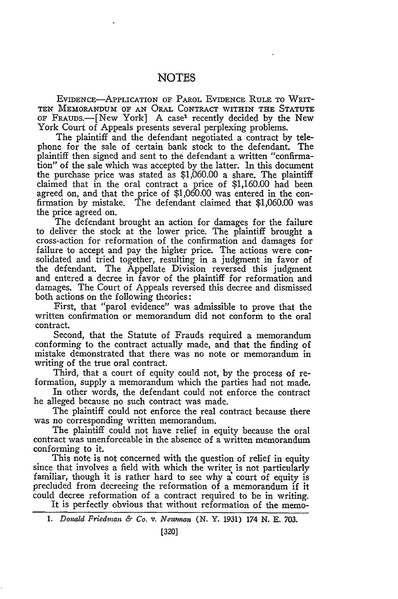## **NOTES**

EVIDENCE-APPLICATION OF PAROL EVIDENCE RULE TO WRIT-TEN MEMORANDUM OF AN ORAL CONTRACT WITHIN THE STATUTE OF FRAuDs.-[New York] A case' recently decided by the New York Court of Appeals presents several perplexing problems.

The plaintiff and the defendant negotiated a contract by telephone for the sale of certain bank stock to the defendant. The plaintiff then signed and sent to the defendant a written "confirmation" of the sale which was accepted by the latter. In this document the purchase price was stated as \$1,060.00 a share. The plaintiff claimed that in the oral contract a price of \$1,160.00 had been agreed on, and that the price of \$1,060.00 was entered in the confirmation by mistake. The defendant claimed that \$1,060.00 was the price agreed on.

The defendant brought an action for damages for the failure to deliver the stock at the lower price. The plaintiff brought a cross-action for reformation of the confirmation and damages for failure to accept and pay the higher price. The actions were consolidated and tried together, resulting in a judgment in favor of the defendant. The Appellate Division reversed this judgment and entered a decree in favor of the plaintiff for reformation and damages. The Court of Appeals reversed this decree and dismissed both actions on the following theories:

First, that "parol evidence" was admissible to prove that the written confirmation or memorandum did not conform to the oral contract.

Second, that the Statute of Frauds required a memorandum conforming to the contract actually made, and that the finding of mistake demonstrated that there was no note or memorandum in writing of the true oral contract.

Third, that a court of equity could not, by the process of reformation, supply a memorandum which the parties had not made.

In other words, the defendant could not enforce the contract he alleged because no such contract was made.

The plaintiff could not enforce the real contract because there was no corresponding written memorandum.

The plaintiff could not have relief in equity because the oral contract was unenforceable in the absence of a written memorandum conforming to it.

This note is not concerned with the question of relief in equity since that involves a field with which the writer is not particularly familiar, though it is rather hard to see why a court of equity is precluded from decreeing the reformation of a memorandum if it could decree reformation of a contract required to be in writing.

It is perfectly obvious that without reformation of the memo-

*<sup>1.</sup> Donald Friedvnan & Co. v. Nezunan* (N. Y. 1931) *174* **N. E. 703.**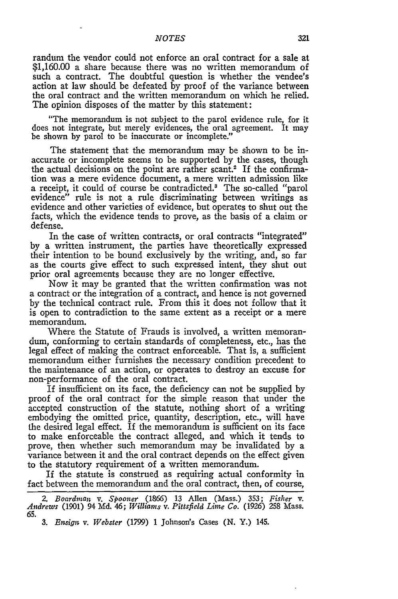randum the vendor could not enforce an oral contract for a sale at \$1,160.00 a share because there was no written memorandum of such a contract. The doubtful question is whether the vendee's action at law should be defeated by proof of the variance between the oral contract and the written memorandum on which he relied. The opinion disposes of the matter by this statement:

"The memorandum is not subject to the parol evidence rule, for it does not integrate, but merely evidences, the oral agreement. It may be shown by parol to be inaccurate or incomplete."

The statement that the memorandum may be shown to be inaccurate or incomplete seems to be supported by the cases, though the actual decisions on the point are rather scant.<sup>2</sup> If the confirmation was a mere evidence document, a mere written admission like a receipt, it could of course be contradicted.3 The so-called "parol evidence" rule is not a rule discriminating between writings as evidence and other varieties of evidence, but operates to shut out the facts, which the evidence tends to prove, as the basis of a claim or defense.

In the case of written contracts, or oral contracts "integrated" by a written instrument, the parties have theoretically expressed their intention to be bound exclusively by the writing, and, so far as the courts give effect to such expressed intent, they shut out prior oral agreements because they are no longer effective.

Now it may be granted that the written confirmation was not a contract or the integration of a contract, and hence is not governed by the technical contract rule. From this it does not follow that it is open to contradiction to the same extent as a receipt or a mere memorandum.

Where the Statute of Frauds is involved, a written memorandum, conforming to certain standards of completeness, etc., has the legal effect of making the contract enforceable. That is, a sufficient memorandum either furnishes the necessary condition precedent to the maintenance of an action, or operates to destroy an excuse for non-performance of the oral contract.

If insufficient on its face, the deficiency can not be supplied by proof of the oral contract for the simple reason that under the accepted construction of the statute, nothing short of a writing embodying the omitted price, quantity, description, etc., will have the desired legal effect. If the memorandum is sufficient on its face to make enforceable the contract alleged, and which it tends to prove, then whether such memorandum may be invalidated **by** a variance between it and the oral contract depends on the effect given to the statutory requirement of a written memorandum.

If the statute is construed as requiring actual conformity in fact between the memorandum and the oral contract, then, of course,

*<sup>2.</sup> Boardman v. Spooner* (1866) 13 Allen (Mass.) 353; *Fisher v. Andrews* (1901) 94 Md. 46; *Williams v. Pittsfield Lime Co.* (1926) **258** Mass. **65.**

<sup>3.</sup> *Ensign v. Webster* (1799) 1 Johnson's Cases (N. Y.) 145.